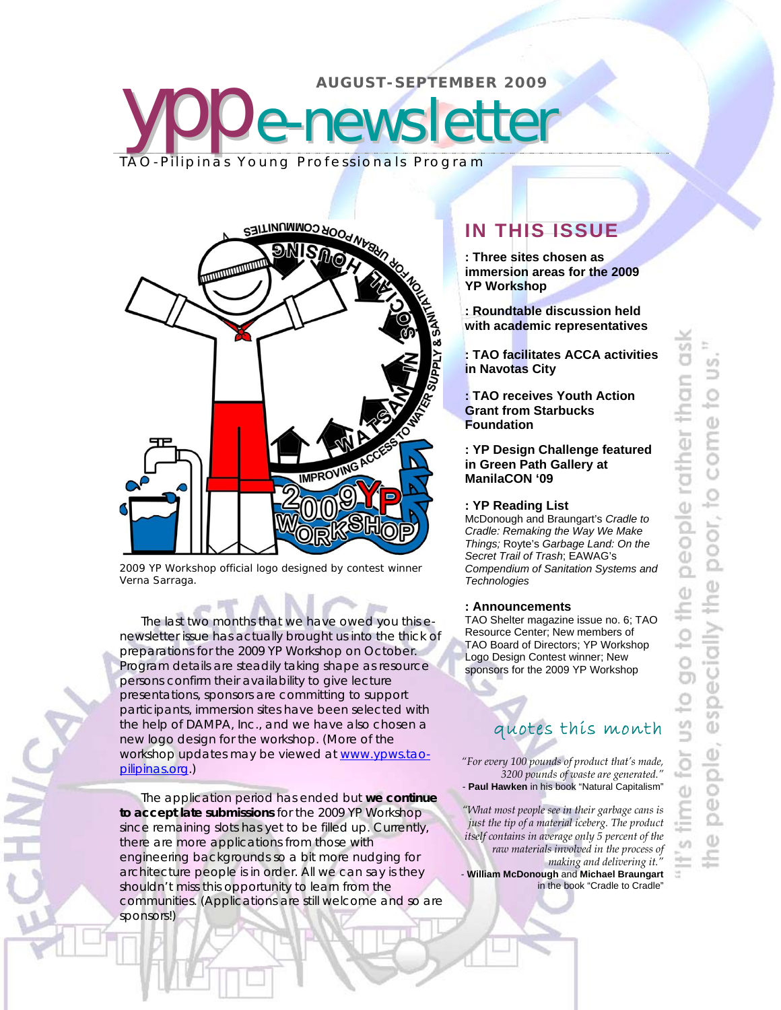

2009 YP Workshop official logo designed by contest winner Verna Sarraga.

The last two months that we have owed you this enewsletter issue has actually brought us into the thick of preparations for the 2009 YP Workshop on October. Program details are steadily taking shape as resource persons confirm their availability to give lecture presentations, sponsors are committing to support participants, immersion sites have been selected with the help of DAMPA, Inc., and we have also chosen a new logo design for the workshop. (More of the workshop updates may be viewed at www.ypws.taopilipinas.org.)

The application period has ended but **we continue to accept late submissions** for the 2009 YP Workshop since remaining slots has yet to be filled up. Currently, there are more applications from those with engineering backgrounds so a bit more nudging for architecture people is in order. All we can say is they shouldn't miss this opportunity to learn from the communities. (Applications are still welcome and so are sponsors!)

# **IN THIS ISSUE**

**: Three sites chosen as immersion areas for the 2009 YP Workshop** 

**: Roundtable discussion held with academic representatives** 

**: TAO facilitates ACCA activities in Navotas City** 

**: TAO receives Youth Action Grant from Starbucks Foundation** 

**: YP Design Challenge featured in Green Path Gallery at ManilaCON '09** 

### **: YP Reading List**

McDonough and Braungart's *Cradle to Cradle: Remaking the Way We Make Things;* Royte's *Garbage Land: On the Secret Trail of Trash*; EAWAG's *Compendium of Sanitation Systems and Technologies*

## **: Announcements**

TAO Shelter magazine issue no. 6; TAO Resource Center; New members of TAO Board of Directors; YP Workshop Logo Design Contest winner; New sponsors for the 2009 YP Workshop

# quotes this month

*"For every 100 pounds of product that's made, 3200 pounds of waste are generated."*  - **Paul Hawken** in his book "Natural Capitalism"

*"What most people see in their garbage cans is just the tip of a material iceberg. The product itself contains in average only 5 percent of the raw materials involved in the process of making and delivering it."*  - **William McDonough** and **Michael Braungart**

in the book "Cradle to Cradle"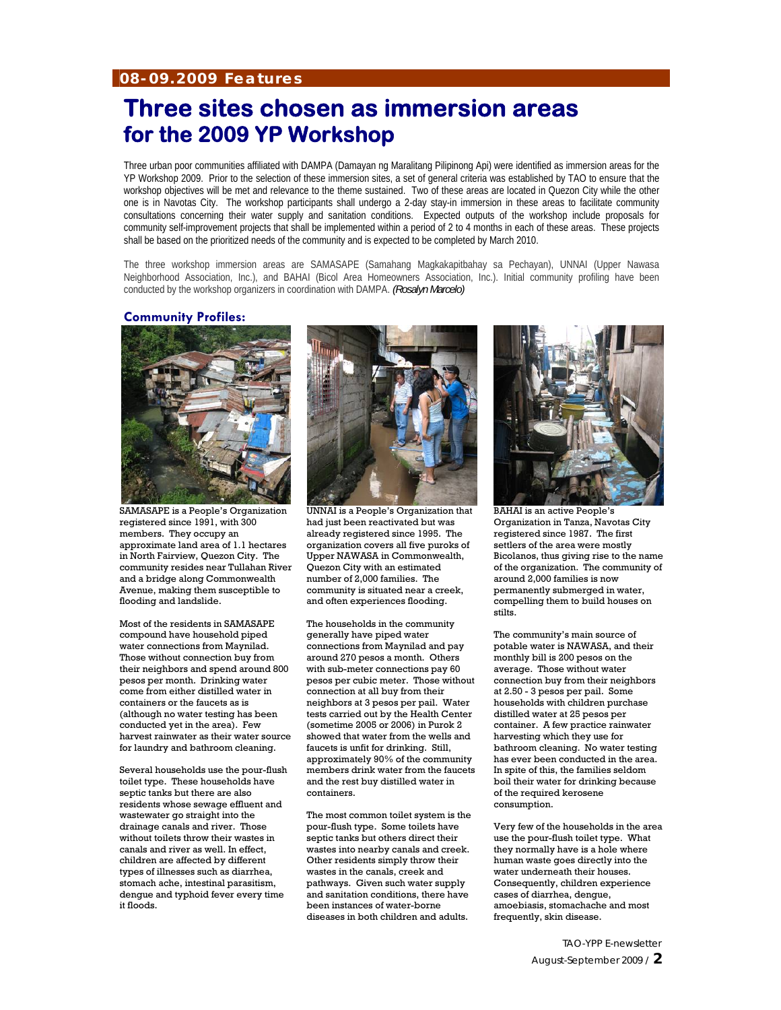## **08-09.2009 Features**

# **Three sites chosen as immersion areas for the 2009 YP Workshop**

Three urban poor communities affiliated with DAMPA (Damayan ng Maralitang Pilipinong Api) were identified as immersion areas for the YP Workshop 2009. Prior to the selection of these immersion sites, a set of general criteria was established by TAO to ensure that the workshop objectives will be met and relevance to the theme sustained. Two of these areas are located in Quezon City while the other one is in Navotas City. The workshop participants shall undergo a 2-day stay-in immersion in these areas to facilitate community consultations concerning their water supply and sanitation conditions. Expected outputs of the workshop include proposals for community self-improvement projects that shall be implemented within a period of 2 to 4 months in each of these areas. These projects shall be based on the prioritized needs of the community and is expected to be completed by March 2010.

The three workshop immersion areas are SAMASAPE (Samahang Magkakapitbahay sa Pechayan), UNNAI (Upper Nawasa Neighborhood Association, Inc.), and BAHAI (Bicol Area Homeowners Association, Inc.). Initial community profiling have been conducted by the workshop organizers in coordination with DAMPA. *(Rosalyn Marcelo)*

### **Community Profiles:**



SAMASAPE is a People's Organization registered since 1991, with 300 members. They occupy an approximate land area of 1.1 hectares in North Fairview, Quezon City. The community resides near Tullahan River and a bridge along Commonwealth Avenue, making them susceptible to flooding and landslide.

Most of the residents in SAMASAPE compound have household piped water connections from Maynilad. Those without connection buy from their neighbors and spend around 800 pesos per month. Drinking water come from either distilled water in containers or the faucets as is (although no water testing has been conducted yet in the area). Few harvest rainwater as their water source for laundry and bathroom cleaning.

Several households use the pour-flush toilet type. These households have septic tanks but there are also residents whose sewage effluent and wastewater go straight into the drainage canals and river. Those without toilets throw their wastes in canals and river as well. In effect, children are affected by different types of illnesses such as diarrhea, stomach ache, intestinal parasitism, dengue and typhoid fever every time it floods.



UNNAI is a People's Organization that had just been reactivated but was already registered since 1995. The organization covers all five puroks of Upper NAWASA in Commonwealth, Quezon City with an estimated number of 2,000 families. The community is situated near a creek, and often experiences flooding.

The households in the community generally have piped water connections from Maynilad and pay around 270 pesos a month. Others with sub-meter connections pay 60 pesos per cubic meter. Those without connection at all buy from their neighbors at 3 pesos per pail. Water tests carried out by the Health Center (sometime 2005 or 2006) in Purok 2 showed that water from the wells and faucets is unfit for drinking. Still, approximately 90% of the community members drink water from the faucets and the rest buy distilled water in containers.

The most common toilet system is the pour-flush type. Some toilets have septic tanks but others direct their wastes into nearby canals and creek. Other residents simply throw their wastes in the canals, creek and pathways. Given such water supply and sanitation conditions, there have been instances of water-borne diseases in both children and adults.



BAHAI is an active People's Organization in Tanza, Navotas City registered since 1987. The first settlers of the area were mostly Bicolanos, thus giving rise to the name of the organization. The community of around 2,000 families is now permanently submerged in water, compelling them to build houses on stilts.

The community's main source of potable water is NAWASA, and their monthly bill is 200 pesos on the average. Those without water connection buy from their neighbors at 2.50 - 3 pesos per pail. Some households with children purchase distilled water at 25 pesos per container. A few practice rainwater harvesting which they use for bathroom cleaning. No water testing has ever been conducted in the area. In spite of this, the families seldom boil their water for drinking because of the required kerosene consumption.

Very few of the households in the area use the pour-flush toilet type. What they normally have is a hole where human waste goes directly into the water underneath their houses. Consequently, children experience cases of diarrhea, dengue, amoebiasis, stomachache and most frequently, skin disease.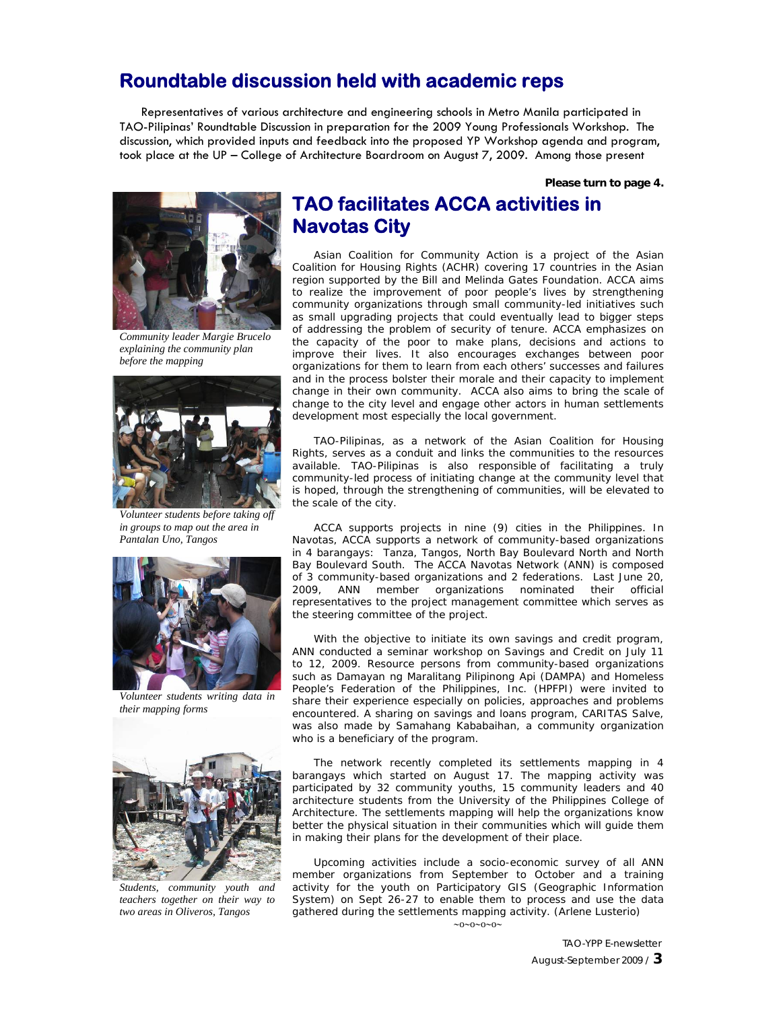# **Roundtable discussion held with academic reps**

Representatives of various architecture and engineering schools in Metro Manila participated in TAO-Pilipinas' Roundtable Discussion in preparation for the 2009 Young Professionals Workshop. The discussion, which provided inputs and feedback into the proposed YP Workshop agenda and program, took place at the UP – College of Architecture Boardroom on August 7, 2009. Among those present

**Please turn to page 4.**



*Community leader Margie Brucelo explaining the community plan before the mapping* 



*Volunteer students before taking off in groups to map out the area in Pantalan Uno, Tangos*



*Volunteer students writing data in their mapping forms*



*Students, community youth and teachers together on their way to two areas in Oliveros, Tangos*

# **TAO facilitates ACCA activities in Navotas City**

Asian Coalition for Community Action is a project of the Asian Coalition for Housing Rights (ACHR) covering 17 countries in the Asian region supported by the Bill and Melinda Gates Foundation. ACCA aims to realize the improvement of poor people's lives by strengthening community organizations through small community-led initiatives such as small upgrading projects that could eventually lead to bigger steps of addressing the problem of security of tenure. ACCA emphasizes on the capacity of the poor to make plans, decisions and actions to improve their lives. It also encourages exchanges between poor organizations for them to learn from each others' successes and failures and in the process bolster their morale and their capacity to implement change in their own community. ACCA also aims to bring the scale of change to the city level and engage other actors in human settlements development most especially the local government.

TAO-Pilipinas, as a network of the Asian Coalition for Housing Rights, serves as a conduit and links the communities to the resources available. TAO-Pilipinas is also responsible of facilitating a truly community-led process of initiating change at the community level that is hoped, through the strengthening of communities, will be elevated to the scale of the city.

ACCA supports projects in nine (9) cities in the Philippines. In Navotas, ACCA supports a network of community-based organizations in 4 barangays: Tanza, Tangos, North Bay Boulevard North and North Bay Boulevard South. The ACCA Navotas Network (ANN) is composed of 3 community-based organizations and 2 federations. Last June 20, 2009, ANN member organizations nominated their official representatives to the project management committee which serves as the steering committee of the project.

With the objective to initiate its own savings and credit program, ANN conducted a seminar workshop on Savings and Credit on July 11 to 12, 2009. Resource persons from community-based organizations such as Damayan ng Maralitang Pilipinong Api (DAMPA) and Homeless People's Federation of the Philippines, Inc. (HPFPI) were invited to share their experience especially on policies, approaches and problems encountered. A sharing on savings and loans program, CARITAS Salve, was also made by Samahang Kababaihan, a community organization who is a beneficiary of the program.

The network recently completed its settlements mapping in 4 barangays which started on August 17. The mapping activity was participated by 32 community youths, 15 community leaders and 40 architecture students from the University of the Philippines College of Architecture. The settlements mapping will help the organizations know better the physical situation in their communities which will guide them in making their plans for the development of their place.

Upcoming activities include a socio-economic survey of all ANN member organizations from September to October and a training activity for the youth on Participatory GIS (Geographic Information System) on Sept 26-27 to enable them to process and use the data gathered during the settlements mapping activity. *(Arlene Lusterio)*  $\sim 0 \sim 0 \sim 0 \sim 0$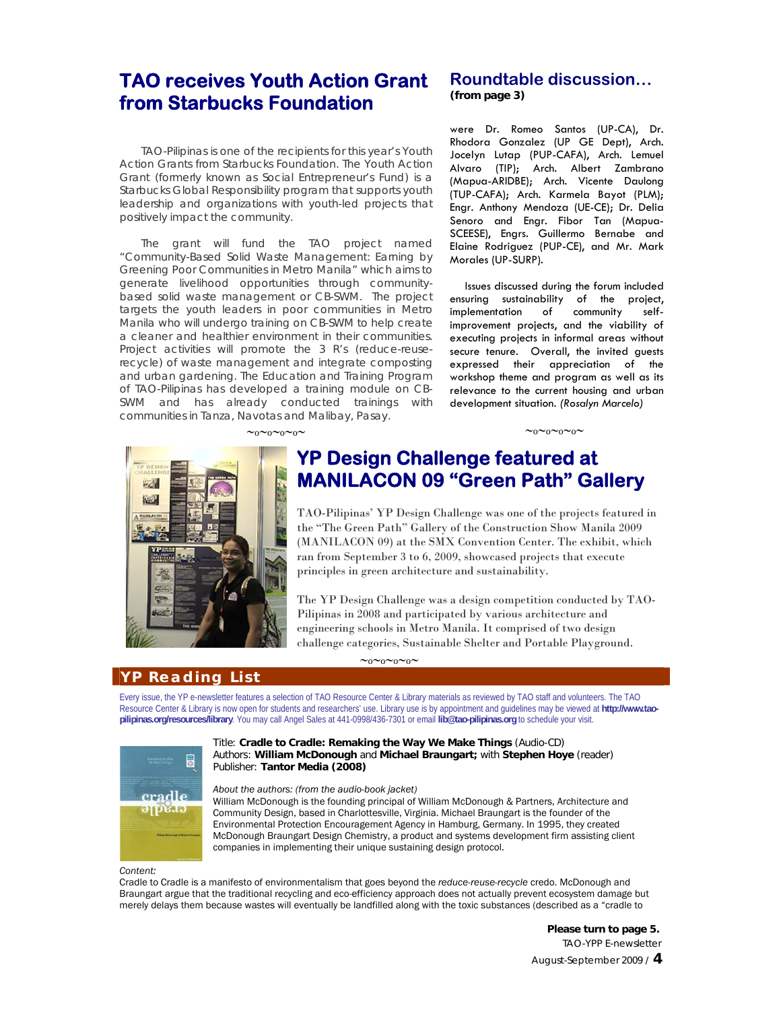# **TAO receives Youth Action Grant from Starbucks Foundation**

TAO-Pilipinas is one of the recipients for this year's Youth Action Grants from Starbucks Foundation. The Youth Action Grant (formerly known as Social Entrepreneur's Fund) is a Starbucks Global Responsibility program that supports youth leadership and organizations with youth-led projects that positively impact the community.

The grant will fund the TAO project named "Community-Based Solid Waste Management: Earning by Greening Poor Communities in Metro Manila" which aims to generate livelihood opportunities through communitybased solid waste management or CB-SWM. The project targets the youth leaders in poor communities in Metro Manila who will undergo training on CB-SWM to help create a cleaner and healthier environment in their communities. Project activities will promote the 3 R's (reduce-reuserecycle) of waste management and integrate composting and urban gardening. The Education and Training Program of TAO-Pilipinas has developed a training module on CB-SWM and has already conducted trainings with communities in Tanza, Navotas and Malibay, Pasay.

## **Roundtable discussion… (from page 3)**

were Dr. Romeo Santos (UP-CA), Dr. Rhodora Gonzalez (UP GE Dept), Arch. Jocelyn Lutap (PUP-CAFA), Arch. Lemuel Alvaro (TIP); Arch. Albert Zambrano (Mapua-ARIDBE); Arch. Vicente Daulong (TUP-CAFA); Arch. Karmela Bayot (PLM); Engr. Anthony Mendoza (UE-CE); Dr. Delia Senoro and Engr. Fibor Tan (Mapua-SCEESE), Engrs. Guillermo Bernabe and Elaine Rodriguez (PUP-CE), and Mr. Mark Morales (UP-SURP).

Issues discussed during the forum included ensuring sustainability of the project,<br>implementation of community selfimplementation of community selfimprovement projects, and the viability of executing projects in informal areas without secure tenure. Overall, the invited guests expressed their appreciation of the workshop theme and program as well as its relevance to the current housing and urban development situation. *(Rosalyn Marcelo)* 

#### $\sim_0\sim_0\sim_0\sim$



# **YP Design Challenge featured at MANILACON 09 "Green Path" Gallery**

TAO-Pilipinas' YP Design Challenge was one of the projects featured in the "The Green Path" Gallery of the Construction Show Manila 2009 (MANILACON 09) at the SMX Convention Center. The exhibit, which ran from September 3 to 6, 2009, showcased projects that execute principles in green architecture and sustainability.

The YP Design Challenge was a design competition conducted by TAO-Pilipinas in 2008 and participated by various architecture and engineering schools in Metro Manila. It comprised of two design challenge categories, Sustainable Shelter and Portable Playground.

## **YP Reading List**

Every issue, the YP e-newsletter features a selection of TAO Resource Center & Library materials as reviewed by TAO staff and volunteers. The TAO Resource Center & Library is now open for students and researchers' use. Library use is by appointment and guidelines may be viewed at **http://www.taopilipinas.org/resources/library**. You may call Angel Sales at 441-0998/436-7301 or email **lib@tao-pilipinas.org** to schedule your visit.

 $\sim_0\sim_0\sim_0\sim$ 



#### Title: **Cradle to Cradle: Remaking the Way We Make Things** (Audio-CD) Authors: **William McDonough** and **Michael Braungart;** with **Stephen Hoye** (reader) Publisher: **Tantor Media (2008)**

### *About the authors: (from the audio-book jacket)*

William McDonough is the founding principal of William McDonough & Partners, Architecture and Community Design, based in Charlottesville, Virginia. Michael Braungart is the founder of the Environmental Protection Encouragement Agency in Hamburg, Germany. In 1995, they created McDonough Braungart Design Chemistry, a product and systems development firm assisting client companies in implementing their unique sustaining design protocol.

#### *Content:*

Cradle to Cradle is a manifesto of environmentalism that goes beyond the *reduce-reuse-recycle* credo. McDonough and Braungart argue that the traditional recycling and eco-efficiency approach does not actually prevent ecosystem damage but merely delays them because wastes will eventually be landfilled along with the toxic substances (described as a "cradle to

> TAO-YPP E-newsletter August-September 2009 / **4 Please turn to page 5.**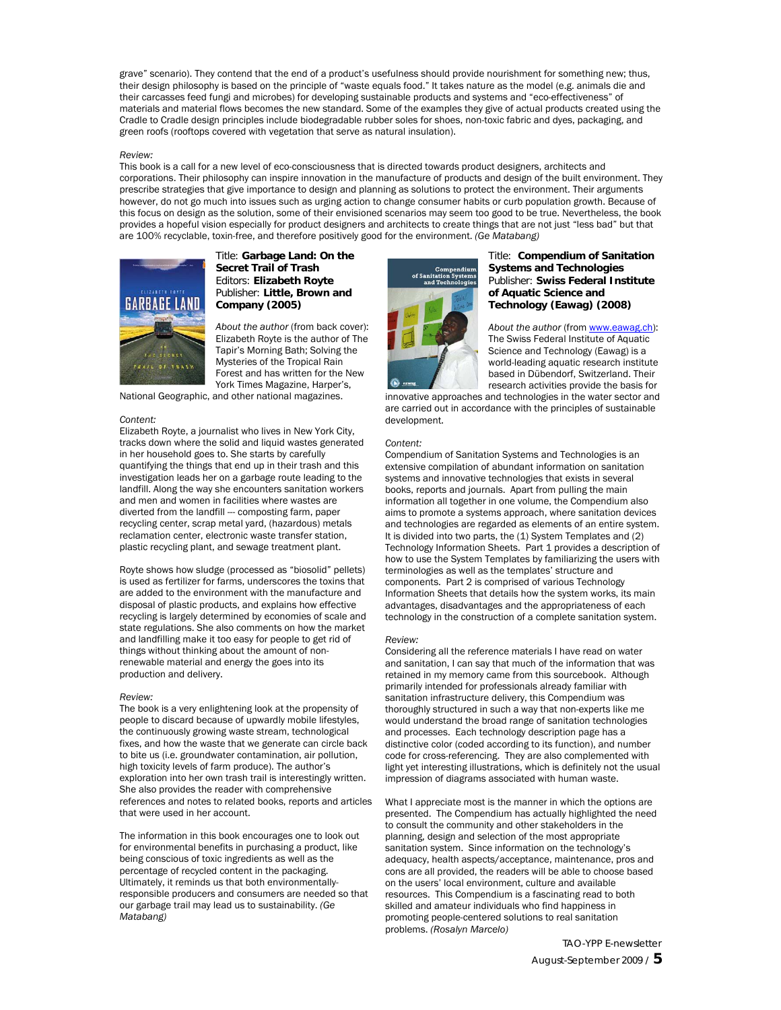grave" scenario). They contend that the end of a product's usefulness should provide nourishment for something new; thus, their design philosophy is based on the principle of "waste equals food." It takes nature as the model (e.g. animals die and their carcasses feed fungi and microbes) for developing sustainable products and systems and "eco-effectiveness" of materials and material flows becomes the new standard. Some of the examples they give of actual products created using the Cradle to Cradle design principles include biodegradable rubber soles for shoes, non-toxic fabric and dyes, packaging, and green roofs (rooftops covered with vegetation that serve as natural insulation).

#### *Review:*

This book is a call for a new level of eco-consciousness that is directed towards product designers, architects and corporations. Their philosophy can inspire innovation in the manufacture of products and design of the built environment. They prescribe strategies that give importance to design and planning as solutions to protect the environment. Their arguments however, do not go much into issues such as urging action to change consumer habits or curb population growth. Because of this focus on design as the solution, some of their envisioned scenarios may seem too good to be true. Nevertheless, the book provides a hopeful vision especially for product designers and architects to create things that are not just "less bad" but that are 100% recyclable, toxin-free, and therefore positively good for the environment. *(Ge Matabang)* 



### Title: **Garbage Land: On the Secret Trail of Trash**  Editors: **Elizabeth Royte**  Publisher: **Little, Brown and Company (2005)**

*About the author* (from back cover): Elizabeth Royte is the author of The Tapir's Morning Bath; Solving the Mysteries of the Tropical Rain Forest and has written for the New York Times Magazine, Harper's,

National Geographic, and other national magazines.

#### *Content:*

Elizabeth Royte, a journalist who lives in New York City, tracks down where the solid and liquid wastes generated in her household goes to. She starts by carefully quantifying the things that end up in their trash and this investigation leads her on a garbage route leading to the landfill. Along the way she encounters sanitation workers and men and women in facilities where wastes are diverted from the landfill --- composting farm, paper recycling center, scrap metal yard, (hazardous) metals reclamation center, electronic waste transfer station, plastic recycling plant, and sewage treatment plant.

Royte shows how sludge (processed as "biosolid" pellets) is used as fertilizer for farms, underscores the toxins that are added to the environment with the manufacture and disposal of plastic products, and explains how effective recycling is largely determined by economies of scale and state regulations. She also comments on how the market and landfilling make it too easy for people to get rid of things without thinking about the amount of nonrenewable material and energy the goes into its production and delivery.

#### *Review:*

The book is a very enlightening look at the propensity of people to discard because of upwardly mobile lifestyles, the continuously growing waste stream, technological fixes, and how the waste that we generate can circle back to bite us (i.e. groundwater contamination, air pollution, high toxicity levels of farm produce). The author's exploration into her own trash trail is interestingly written. She also provides the reader with comprehensive references and notes to related books, reports and articles that were used in her account.

The information in this book encourages one to look out for environmental benefits in purchasing a product, like being conscious of toxic ingredients as well as the percentage of recycled content in the packaging. Ultimately, it reminds us that both environmentallyresponsible producers and consumers are needed so that our garbage trail may lead us to sustainability. *(Ge Matabang)*



#### Title: **Compendium of Sanitation Systems and Technologies** Publisher: **Swiss Federal Institute of Aquatic Science and Technology (Eawag) (2008)**

About the author (from www.eawag.ch): The Swiss Federal Institute of Aquatic Science and Technology (Eawag) is a world-leading aquatic research institute based in Dübendorf, Switzerland. Their research activities provide the basis for

innovative approaches and technologies in the water sector and are carried out in accordance with the principles of sustainable development.

#### *Content:*

Compendium of Sanitation Systems and Technologies is an extensive compilation of abundant information on sanitation systems and innovative technologies that exists in several books, reports and journals. Apart from pulling the main information all together in one volume, the Compendium also aims to promote a systems approach, where sanitation devices and technologies are regarded as elements of an entire system. It is divided into two parts, the (1) System Templates and (2) Technology Information Sheets. Part 1 provides a description of how to use the System Templates by familiarizing the users with terminologies as well as the templates' structure and components. Part 2 is comprised of various Technology Information Sheets that details how the system works, its main advantages, disadvantages and the appropriateness of each technology in the construction of a complete sanitation system.

#### *Review:*

Considering all the reference materials I have read on water and sanitation, I can say that much of the information that was retained in my memory came from this sourcebook. Although primarily intended for professionals already familiar with sanitation infrastructure delivery, this Compendium was thoroughly structured in such a way that non-experts like me would understand the broad range of sanitation technologies and processes. Each technology description page has a distinctive color (coded according to its function), and number code for cross-referencing. They are also complemented with light yet interesting illustrations, which is definitely not the usual impression of diagrams associated with human waste.

What I appreciate most is the manner in which the options are presented. The Compendium has actually highlighted the need to consult the community and other stakeholders in the planning, design and selection of the most appropriate sanitation system. Since information on the technology's adequacy, health aspects/acceptance, maintenance, pros and cons are all provided, the readers will be able to choose based on the users' local environment, culture and available resources. This Compendium is a fascinating read to both skilled and amateur individuals who find happiness in promoting people-centered solutions to real sanitation problems. *(Rosalyn Marcelo)*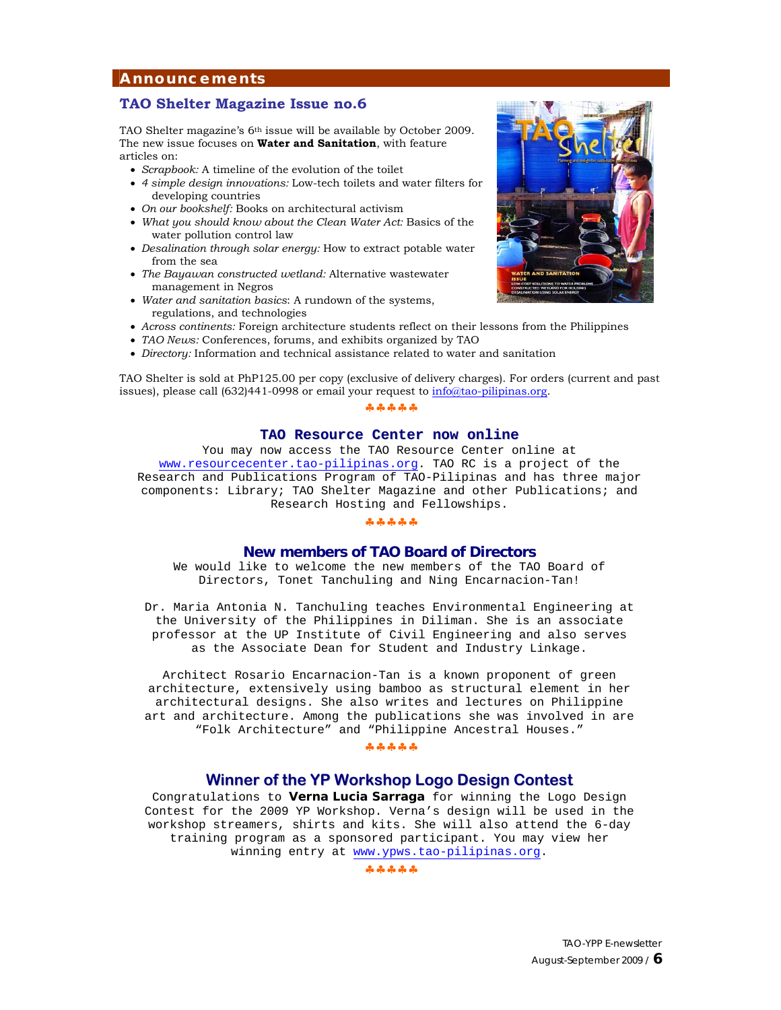## **Announcements**

## **TAO Shelter Magazine Issue no.6**

TAO Shelter magazine's 6th issue will be available by October 2009. The new issue focuses on **Water and Sanitation**, with feature articles on:

- *Scrapbook:* A timeline of the evolution of the toilet
- *4 simple design innovations:* Low-tech toilets and water filters for developing countries
- *On our bookshelf:* Books on architectural activism
- *What you should know about the Clean Water Act:* Basics of the water pollution control law
- *Desalination through solar energy:* How to extract potable water from the sea
- *The Bayawan constructed wetland:* Alternative wastewater management in Negros
- *Water and sanitation basics*: A rundown of the systems, regulations, and technologies
- *Across continents:* Foreign architecture students reflect on their lessons from the Philippines
- *TAO News:* Conferences, forums, and exhibits organized by TAO
- *Directory:* Information and technical assistance related to water and sanitation

TAO Shelter is sold at PhP125.00 per copy (exclusive of delivery charges). For orders (current and past issues), please call (632)441-0998 or email your request to *info@tao-pilipinas.org*.

#### . . . . . .

### **TAO Resource Center now online**

You may now access the TAO Resource Center online at www.resourcecenter.tao-pilipinas.org. TAO RC is a project of the Research and Publications Program of TAO-Pilipinas and has three major components: Library; TAO Shelter Magazine and other Publications; and Research Hosting and Fellowships.

#### $\frac{\partial}{\partial t^{\alpha}}\frac{\partial}{\partial \beta^{\beta}}\frac{\partial}{\partial \beta^{\beta}}\frac{\partial}{\partial \beta^{\beta}}\frac{\partial}{\partial \beta^{\beta}}\frac{\partial}{\partial \beta^{\beta}}$

### **New members of TAO Board of Directors**

We would like to welcome the new members of the TAO Board of Directors, Tonet Tanchuling and Ning Encarnacion-Tan!

Dr. Maria Antonia N. Tanchuling teaches Environmental Engineering at the University of the Philippines in Diliman. She is an associate professor at the UP Institute of Civil Engineering and also serves as the Associate Dean for Student and Industry Linkage.

Architect Rosario Encarnacion-Tan is a known proponent of green architecture, extensively using bamboo as structural element in her architectural designs. She also writes and lectures on Philippine art and architecture. Among the publications she was involved in are "Folk Architecture" and "Philippine Ancestral Houses."

#### $\omega_{\rm P}^2 \omega_{\rm P}^2 \omega_{\rm P}^2 \omega_{\rm P}^2 \omega_{\rm P}^2$

## **Winner of the YP Workshop Logo Design Contest**

Congratulations to **Verna Lucia Sarraga** for winning the Logo Design Contest for the 2009 YP Workshop. Verna's design will be used in the workshop streamers, shirts and kits. She will also attend the 6-day training program as a sponsored participant. You may view her winning entry at www.ypws.tao-pilipinas.org.

 $\frac{1}{2} \begin{pmatrix} 1 & \frac{1}{2} & \frac{1}{2} & \frac{1}{2} & \frac{1}{2} & \frac{1}{2} & \frac{1}{2} & \frac{1}{2} & \frac{1}{2} & \frac{1}{2} & \frac{1}{2} & \frac{1}{2} & \frac{1}{2} & \frac{1}{2} & \frac{1}{2} & \frac{1}{2} & \frac{1}{2} & \frac{1}{2} & \frac{1}{2} & \frac{1}{2} & \frac{1}{2} & \frac{1}{2} & \frac{1}{2} & \frac{1}{2} & \frac{1}{2} & \frac{1}{2} & \frac{1$